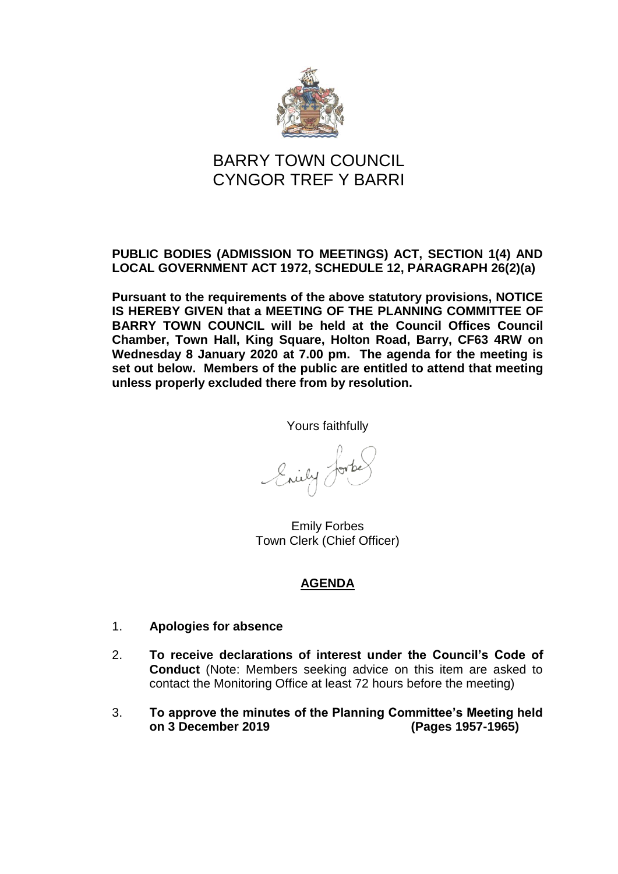

## **PUBLIC BODIES (ADMISSION TO MEETINGS) ACT, SECTION 1(4) AND LOCAL GOVERNMENT ACT 1972, SCHEDULE 12, PARAGRAPH 26(2)(a)**

**Pursuant to the requirements of the above statutory provisions, NOTICE IS HEREBY GIVEN that a MEETING OF THE PLANNING COMMITTEE OF BARRY TOWN COUNCIL will be held at the Council Offices Council Chamber, Town Hall, King Square, Holton Road, Barry, CF63 4RW on Wednesday 8 January 2020 at 7.00 pm. The agenda for the meeting is set out below. Members of the public are entitled to attend that meeting unless properly excluded there from by resolution.**

Yours faithfully

Enily 0

Emily Forbes Town Clerk (Chief Officer)

- 1. **Apologies for absence**
- 2. **To receive declarations of interest under the Council's Code of Conduct** (Note: Members seeking advice on this item are asked to contact the Monitoring Office at least 72 hours before the meeting)
- 3. **To approve the minutes of the Planning Committee's Meeting held on 3 December 2019 (Pages 1957-1965)**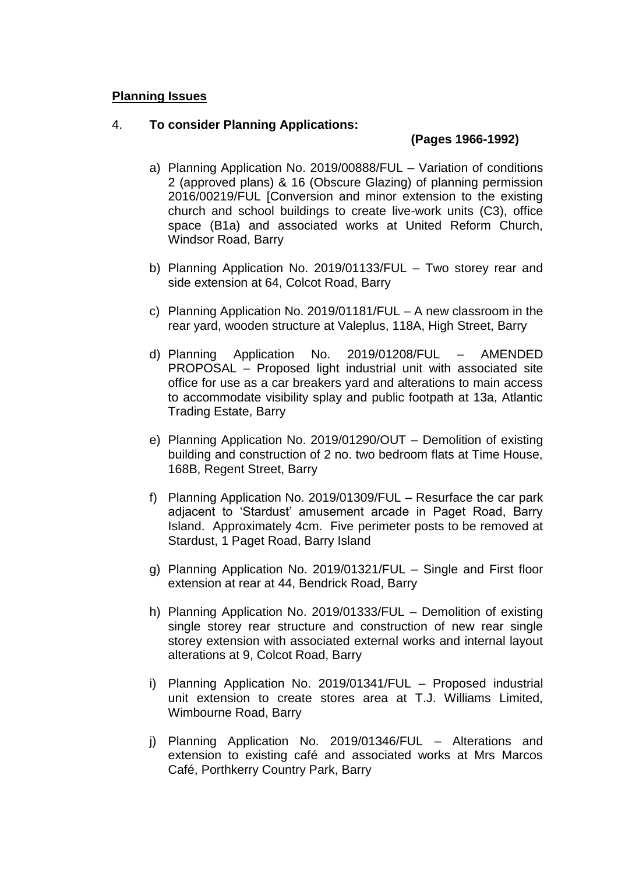#### 4. **To consider Planning Applications:**

#### **(Pages 1966-1992)**

- a) Planning Application No. 2019/00888/FUL Variation of conditions 2 (approved plans) & 16 (Obscure Glazing) of planning permission 2016/00219/FUL [Conversion and minor extension to the existing church and school buildings to create live-work units (C3), office space (B1a) and associated works at United Reform Church, Windsor Road, Barry
- b) Planning Application No. 2019/01133/FUL Two storey rear and side extension at 64, Colcot Road, Barry
- c) Planning Application No. 2019/01181/FUL A new classroom in the rear yard, wooden structure at Valeplus, 118A, High Street, Barry
- d) Planning Application No. 2019/01208/FUL AMENDED PROPOSAL – Proposed light industrial unit with associated site office for use as a car breakers yard and alterations to main access to accommodate visibility splay and public footpath at 13a, Atlantic Trading Estate, Barry
- e) Planning Application No. 2019/01290/OUT Demolition of existing building and construction of 2 no. two bedroom flats at Time House, 168B, Regent Street, Barry
- f) Planning Application No. 2019/01309/FUL Resurface the car park adjacent to 'Stardust' amusement arcade in Paget Road, Barry Island. Approximately 4cm. Five perimeter posts to be removed at Stardust, 1 Paget Road, Barry Island
- g) Planning Application No. 2019/01321/FUL Single and First floor extension at rear at 44, Bendrick Road, Barry
- h) Planning Application No. 2019/01333/FUL Demolition of existing single storey rear structure and construction of new rear single storey extension with associated external works and internal layout alterations at 9, Colcot Road, Barry
- i) Planning Application No. 2019/01341/FUL Proposed industrial unit extension to create stores area at T.J. Williams Limited, Wimbourne Road, Barry
- j) Planning Application No. 2019/01346/FUL Alterations and extension to existing café and associated works at Mrs Marcos Café, Porthkerry Country Park, Barry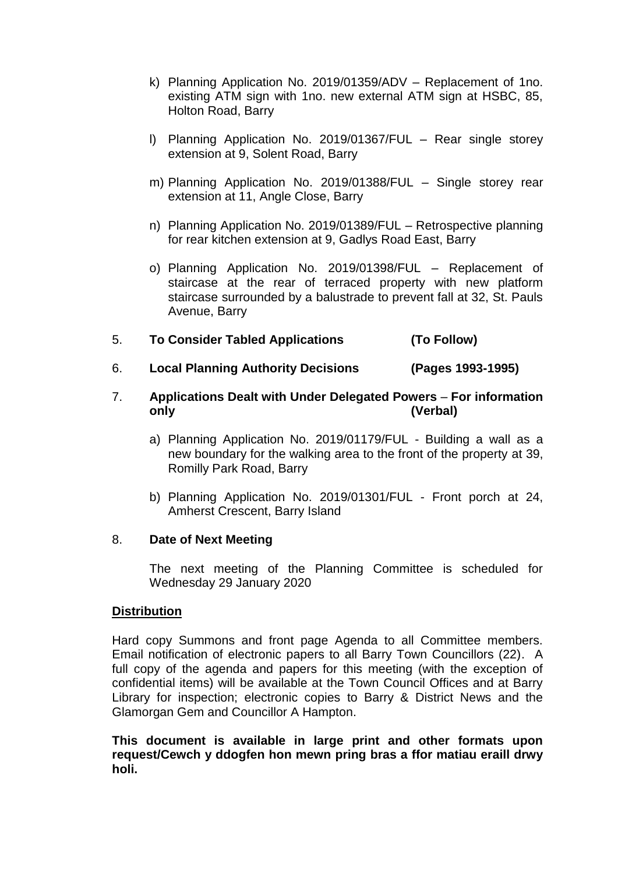- k) Planning Application No. 2019/01359/ADV Replacement of 1no. existing ATM sign with 1no. new external ATM sign at HSBC, 85, Holton Road, Barry
- l) Planning Application No. 2019/01367/FUL Rear single storey extension at 9, Solent Road, Barry
- m) Planning Application No. 2019/01388/FUL Single storey rear extension at 11, Angle Close, Barry
- n) Planning Application No. 2019/01389/FUL Retrospective planning for rear kitchen extension at 9, Gadlys Road East, Barry
- o) Planning Application No. 2019/01398/FUL Replacement of staircase at the rear of terraced property with new platform staircase surrounded by a balustrade to prevent fall at 32, St. Pauls Avenue, Barry
- 5. **To Consider Tabled Applications (To Follow)**
- 6. **Local Planning Authority Decisions (Pages 1993-1995)**

## 7. **Applications Dealt with Under Delegated Powers** – **For information only (Verbal)**

- a) Planning Application No. 2019/01179/FUL Building a wall as a new boundary for the walking area to the front of the property at 39, Romilly Park Road, Barry
- b) Planning Application No. 2019/01301/FUL Front porch at 24, Amherst Crescent, Barry Island

#### 8. **Date of Next Meeting**

The next meeting of the Planning Committee is scheduled for Wednesday 29 January 2020

#### **Distribution**

Hard copy Summons and front page Agenda to all Committee members. Email notification of electronic papers to all Barry Town Councillors (22). A full copy of the agenda and papers for this meeting (with the exception of confidential items) will be available at the Town Council Offices and at Barry Library for inspection; electronic copies to Barry & District News and the Glamorgan Gem and Councillor A Hampton.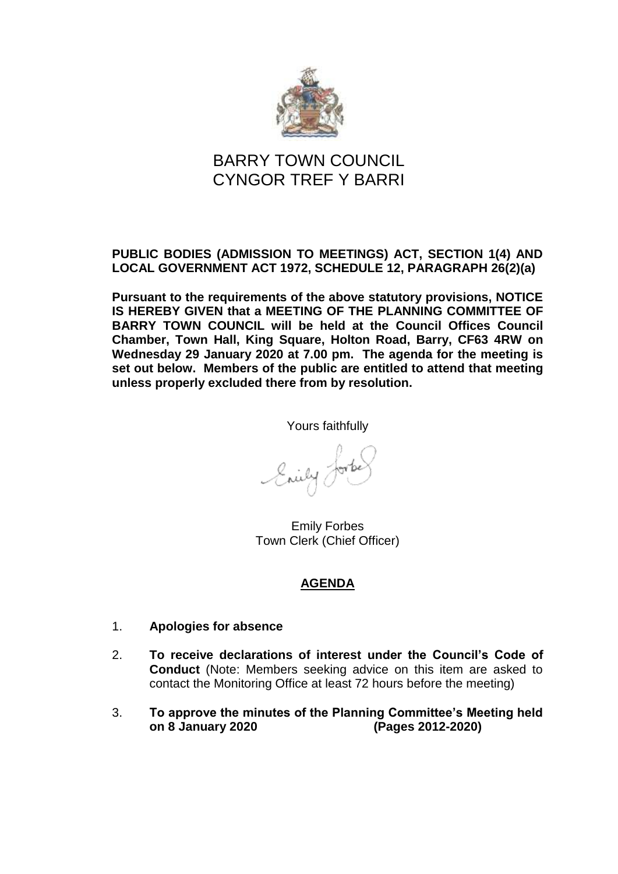

## **PUBLIC BODIES (ADMISSION TO MEETINGS) ACT, SECTION 1(4) AND LOCAL GOVERNMENT ACT 1972, SCHEDULE 12, PARAGRAPH 26(2)(a)**

**Pursuant to the requirements of the above statutory provisions, NOTICE IS HEREBY GIVEN that a MEETING OF THE PLANNING COMMITTEE OF BARRY TOWN COUNCIL will be held at the Council Offices Council Chamber, Town Hall, King Square, Holton Road, Barry, CF63 4RW on Wednesday 29 January 2020 at 7.00 pm. The agenda for the meeting is set out below. Members of the public are entitled to attend that meeting unless properly excluded there from by resolution.**

Yours faithfully

Enily Je

Emily Forbes Town Clerk (Chief Officer)

- 1. **Apologies for absence**
- 2. **To receive declarations of interest under the Council's Code of Conduct** (Note: Members seeking advice on this item are asked to contact the Monitoring Office at least 72 hours before the meeting)
- 3. **To approve the minutes of the Planning Committee's Meeting held on 8 January 2020 (Pages 2012-2020)**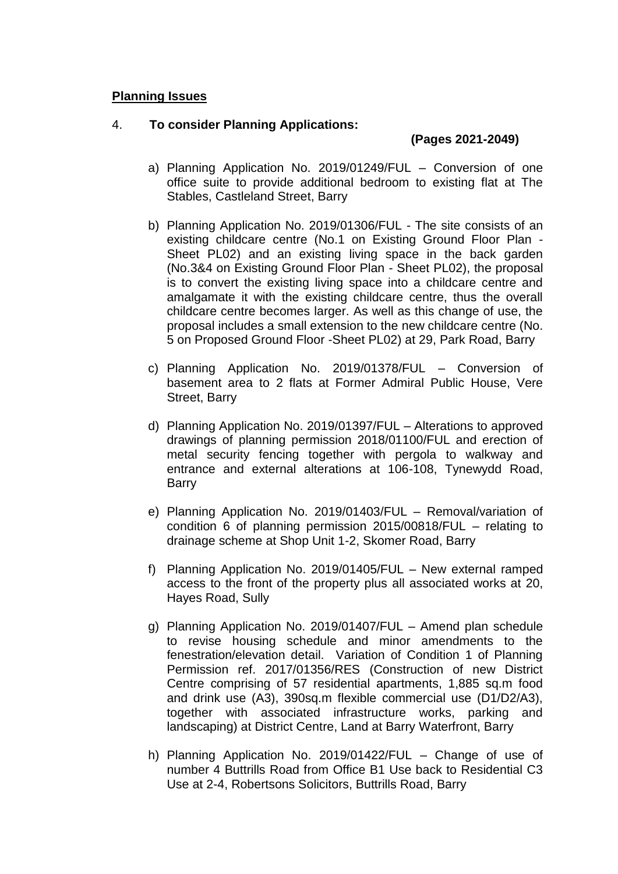#### 4. **To consider Planning Applications:**

## **(Pages 2021-2049)**

- a) Planning Application No. 2019/01249/FUL Conversion of one office suite to provide additional bedroom to existing flat at The Stables, Castleland Street, Barry
- b) Planning Application No. 2019/01306/FUL The site consists of an existing childcare centre (No.1 on Existing Ground Floor Plan - Sheet PL02) and an existing living space in the back garden (No.3&4 on Existing Ground Floor Plan - Sheet PL02), the proposal is to convert the existing living space into a childcare centre and amalgamate it with the existing childcare centre, thus the overall childcare centre becomes larger. As well as this change of use, the proposal includes a small extension to the new childcare centre (No. 5 on Proposed Ground Floor -Sheet PL02) at 29, Park Road, Barry
- c) Planning Application No. 2019/01378/FUL Conversion of basement area to 2 flats at Former Admiral Public House, Vere Street, Barry
- d) Planning Application No. 2019/01397/FUL Alterations to approved drawings of planning permission 2018/01100/FUL and erection of metal security fencing together with pergola to walkway and entrance and external alterations at 106-108, Tynewydd Road, **Barry**
- e) Planning Application No. 2019/01403/FUL Removal/variation of condition 6 of planning permission 2015/00818/FUL – relating to drainage scheme at Shop Unit 1-2, Skomer Road, Barry
- f) Planning Application No. 2019/01405/FUL New external ramped access to the front of the property plus all associated works at 20, Hayes Road, Sully
- g) Planning Application No. 2019/01407/FUL Amend plan schedule to revise housing schedule and minor amendments to the fenestration/elevation detail. Variation of Condition 1 of Planning Permission ref. 2017/01356/RES (Construction of new District Centre comprising of 57 residential apartments, 1,885 sq.m food and drink use (A3), 390sq.m flexible commercial use (D1/D2/A3), together with associated infrastructure works, parking and landscaping) at District Centre, Land at Barry Waterfront, Barry
- h) Planning Application No. 2019/01422/FUL Change of use of number 4 Buttrills Road from Office B1 Use back to Residential C3 Use at 2-4, Robertsons Solicitors, Buttrills Road, Barry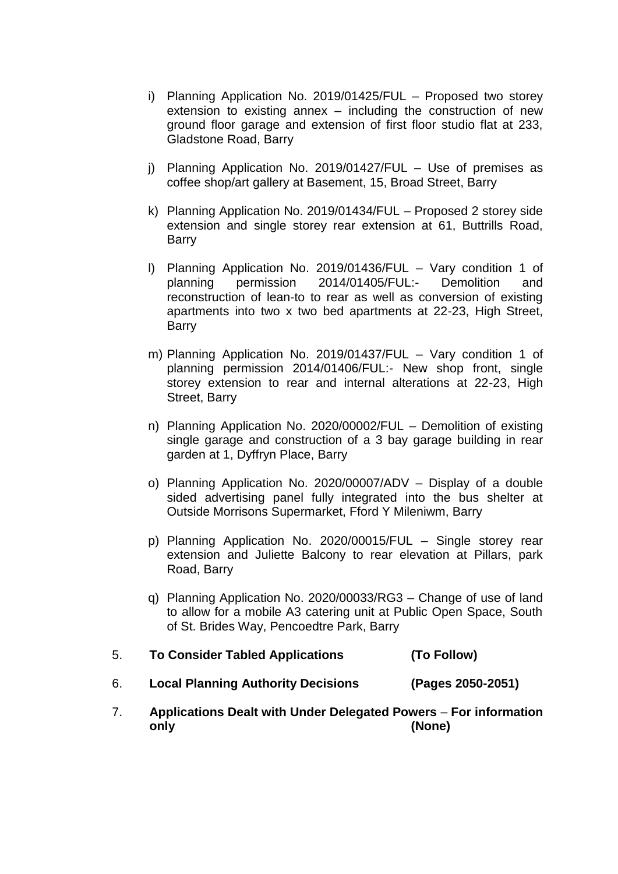- i) Planning Application No. 2019/01425/FUL Proposed two storey extension to existing annex – including the construction of new ground floor garage and extension of first floor studio flat at 233, Gladstone Road, Barry
- j) Planning Application No. 2019/01427/FUL Use of premises as coffee shop/art gallery at Basement, 15, Broad Street, Barry
- k) Planning Application No. 2019/01434/FUL Proposed 2 storey side extension and single storey rear extension at 61, Buttrills Road, Barry
- l) Planning Application No. 2019/01436/FUL Vary condition 1 of planning permission 2014/01405/FUL:- Demolition and reconstruction of lean-to to rear as well as conversion of existing apartments into two x two bed apartments at 22-23, High Street, Barry
- m) Planning Application No. 2019/01437/FUL Vary condition 1 of planning permission 2014/01406/FUL:- New shop front, single storey extension to rear and internal alterations at 22-23, High Street, Barry
- n) Planning Application No. 2020/00002/FUL Demolition of existing single garage and construction of a 3 bay garage building in rear garden at 1, Dyffryn Place, Barry
- o) Planning Application No. 2020/00007/ADV Display of a double sided advertising panel fully integrated into the bus shelter at Outside Morrisons Supermarket, Fford Y Mileniwm, Barry
- p) Planning Application No. 2020/00015/FUL Single storey rear extension and Juliette Balcony to rear elevation at Pillars, park Road, Barry
- q) Planning Application No. 2020/00033/RG3 Change of use of land to allow for a mobile A3 catering unit at Public Open Space, South of St. Brides Way, Pencoedtre Park, Barry
- 5. **To Consider Tabled Applications (To Follow)**
- 6. **Local Planning Authority Decisions (Pages 2050-2051)**
- 7. **Applications Dealt with Under Delegated Powers For information only (None)**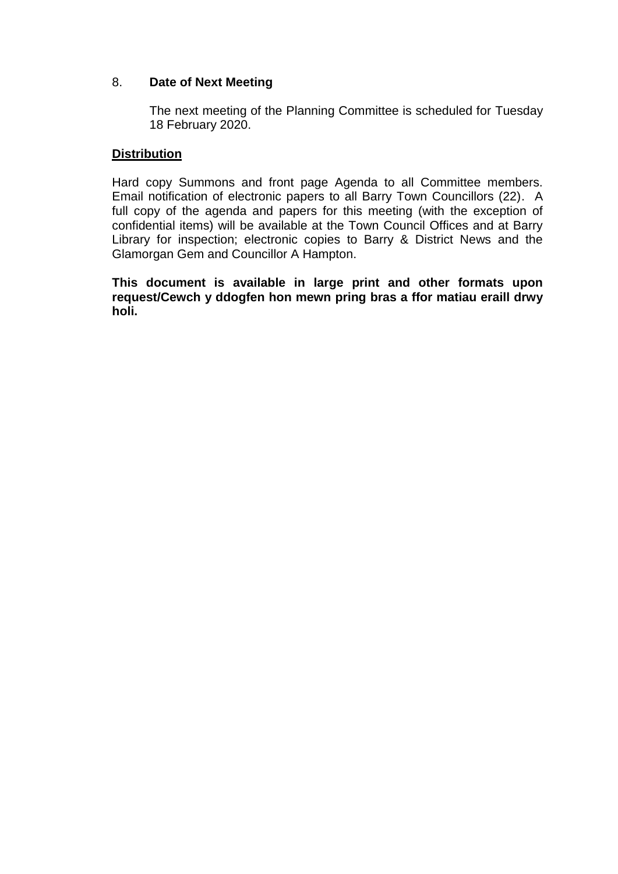## 8. **Date of Next Meeting**

The next meeting of the Planning Committee is scheduled for Tuesday 18 February 2020.

## **Distribution**

Hard copy Summons and front page Agenda to all Committee members. Email notification of electronic papers to all Barry Town Councillors (22). A full copy of the agenda and papers for this meeting (with the exception of confidential items) will be available at the Town Council Offices and at Barry Library for inspection; electronic copies to Barry & District News and the Glamorgan Gem and Councillor A Hampton.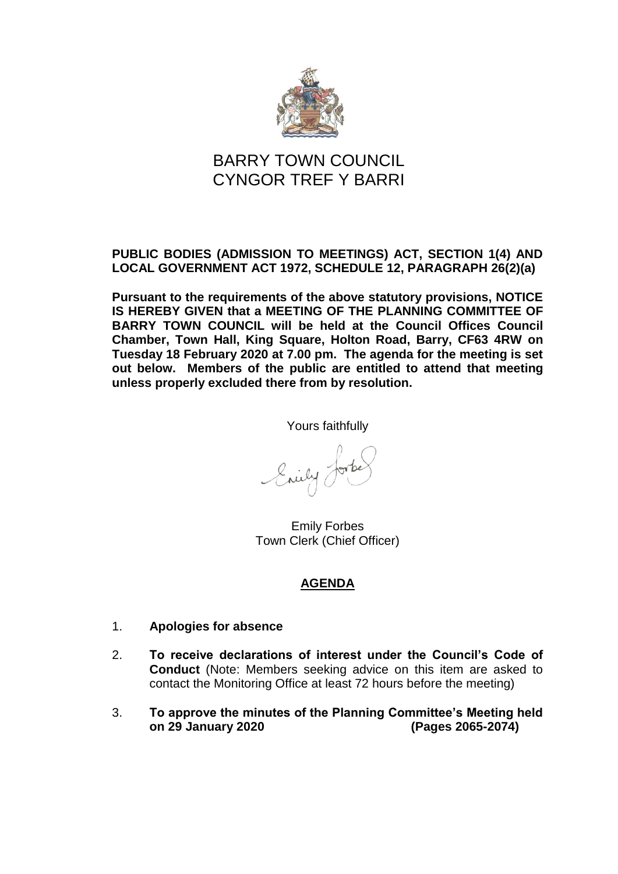

## **PUBLIC BODIES (ADMISSION TO MEETINGS) ACT, SECTION 1(4) AND LOCAL GOVERNMENT ACT 1972, SCHEDULE 12, PARAGRAPH 26(2)(a)**

**Pursuant to the requirements of the above statutory provisions, NOTICE IS HEREBY GIVEN that a MEETING OF THE PLANNING COMMITTEE OF BARRY TOWN COUNCIL will be held at the Council Offices Council Chamber, Town Hall, King Square, Holton Road, Barry, CF63 4RW on Tuesday 18 February 2020 at 7.00 pm. The agenda for the meeting is set out below. Members of the public are entitled to attend that meeting unless properly excluded there from by resolution.**

Yours faithfully

Enily 0

Emily Forbes Town Clerk (Chief Officer)

- 1. **Apologies for absence**
- 2. **To receive declarations of interest under the Council's Code of Conduct** (Note: Members seeking advice on this item are asked to contact the Monitoring Office at least 72 hours before the meeting)
- 3. **To approve the minutes of the Planning Committee's Meeting held on 29 January 2020 (Pages 2065-2074)**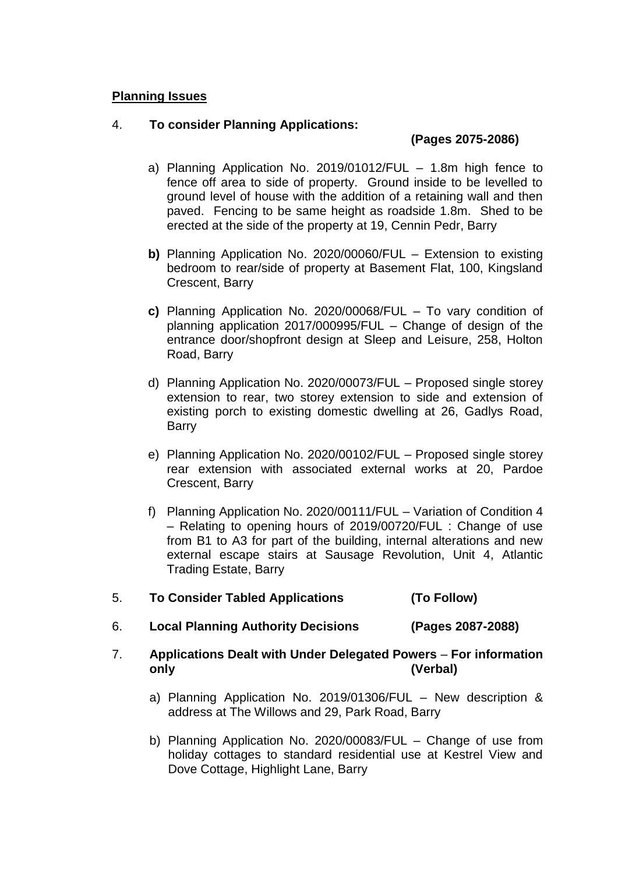## 4. **To consider Planning Applications:**

# **(Pages 2075-2086)**

- a) Planning Application No. 2019/01012/FUL 1.8m high fence to fence off area to side of property. Ground inside to be levelled to ground level of house with the addition of a retaining wall and then paved. Fencing to be same height as roadside 1.8m. Shed to be erected at the side of the property at 19, Cennin Pedr, Barry
- **b)** Planning Application No. 2020/00060/FUL Extension to existing bedroom to rear/side of property at Basement Flat, 100, Kingsland Crescent, Barry
- **c)** Planning Application No. 2020/00068/FUL To vary condition of planning application 2017/000995/FUL – Change of design of the entrance door/shopfront design at Sleep and Leisure, 258, Holton Road, Barry
- d) Planning Application No. 2020/00073/FUL Proposed single storey extension to rear, two storey extension to side and extension of existing porch to existing domestic dwelling at 26, Gadlys Road, Barry
- e) Planning Application No. 2020/00102/FUL Proposed single storey rear extension with associated external works at 20, Pardoe Crescent, Barry
- f) Planning Application No. 2020/00111/FUL Variation of Condition 4 – Relating to opening hours of 2019/00720/FUL : Change of use from B1 to A3 for part of the building, internal alterations and new external escape stairs at Sausage Revolution, Unit 4, Atlantic Trading Estate, Barry
- 5. **To Consider Tabled Applications (To Follow)**
- 6. **Local Planning Authority Decisions (Pages 2087-2088)**
- 7. **Applications Dealt with Under Delegated Powers For information only (Verbal)**
	- a) Planning Application No. 2019/01306/FUL New description & address at The Willows and 29, Park Road, Barry
	- b) Planning Application No. 2020/00083/FUL Change of use from holiday cottages to standard residential use at Kestrel View and Dove Cottage, Highlight Lane, Barry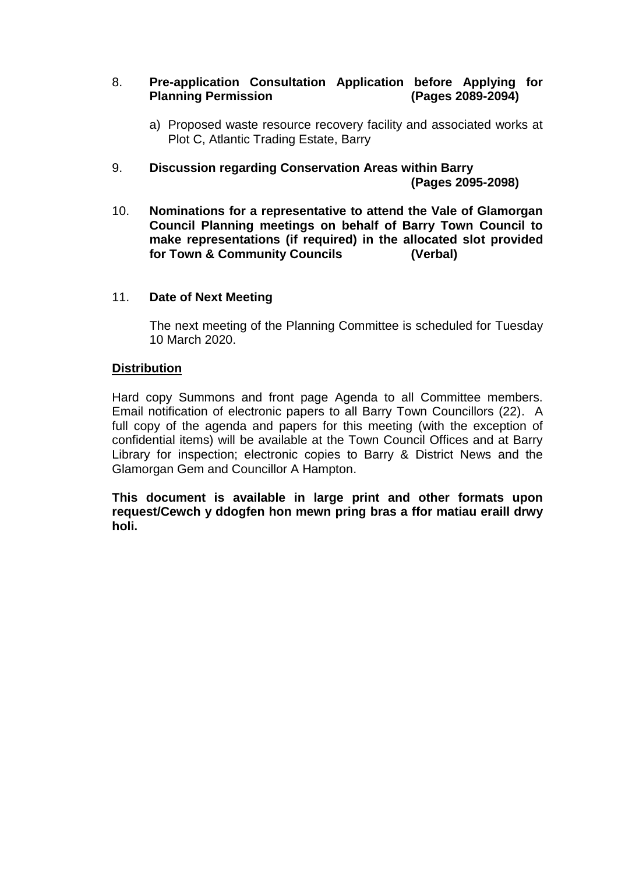#### 8. **Pre-application Consultation Application before Applying for Planning Permission (Pages 2089-2094)**

- a) Proposed waste resource recovery facility and associated works at Plot C, Atlantic Trading Estate, Barry
- 9. **Discussion regarding Conservation Areas within Barry (Pages 2095-2098)**
- 10. **Nominations for a representative to attend the Vale of Glamorgan Council Planning meetings on behalf of Barry Town Council to make representations (if required) in the allocated slot provided for Town & Community Councils (Verbal)**

#### 11. **Date of Next Meeting**

The next meeting of the Planning Committee is scheduled for Tuesday 10 March 2020.

#### **Distribution**

Hard copy Summons and front page Agenda to all Committee members. Email notification of electronic papers to all Barry Town Councillors (22). A full copy of the agenda and papers for this meeting (with the exception of confidential items) will be available at the Town Council Offices and at Barry Library for inspection; electronic copies to Barry & District News and the Glamorgan Gem and Councillor A Hampton.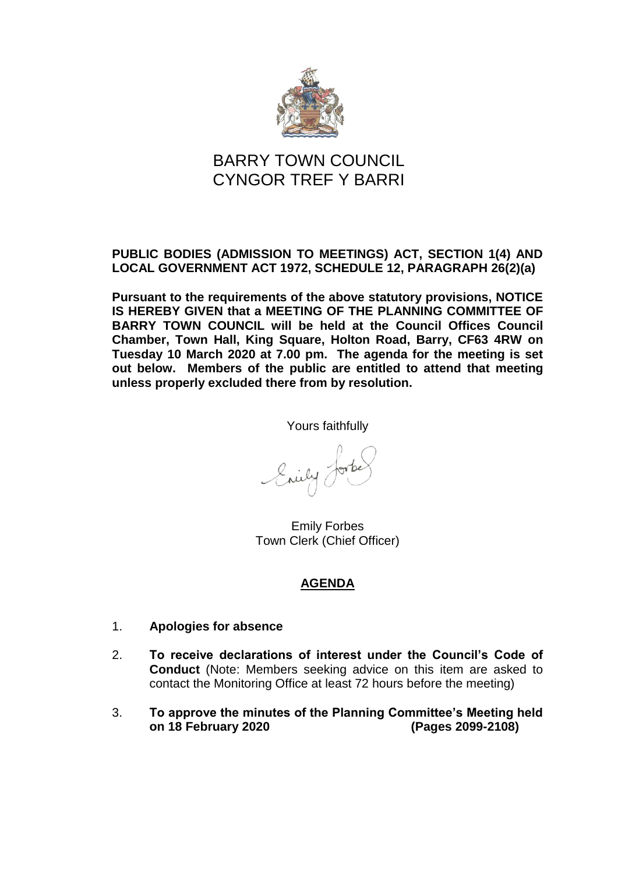

## **PUBLIC BODIES (ADMISSION TO MEETINGS) ACT, SECTION 1(4) AND LOCAL GOVERNMENT ACT 1972, SCHEDULE 12, PARAGRAPH 26(2)(a)**

**Pursuant to the requirements of the above statutory provisions, NOTICE IS HEREBY GIVEN that a MEETING OF THE PLANNING COMMITTEE OF BARRY TOWN COUNCIL will be held at the Council Offices Council Chamber, Town Hall, King Square, Holton Road, Barry, CF63 4RW on Tuesday 10 March 2020 at 7.00 pm. The agenda for the meeting is set out below. Members of the public are entitled to attend that meeting unless properly excluded there from by resolution.**

Yours faithfully

Snily ?

Emily Forbes Town Clerk (Chief Officer)

- 1. **Apologies for absence**
- 2. **To receive declarations of interest under the Council's Code of Conduct** (Note: Members seeking advice on this item are asked to contact the Monitoring Office at least 72 hours before the meeting)
- 3. **To approve the minutes of the Planning Committee's Meeting held on 18 February 2020 (Pages 2099-2108)**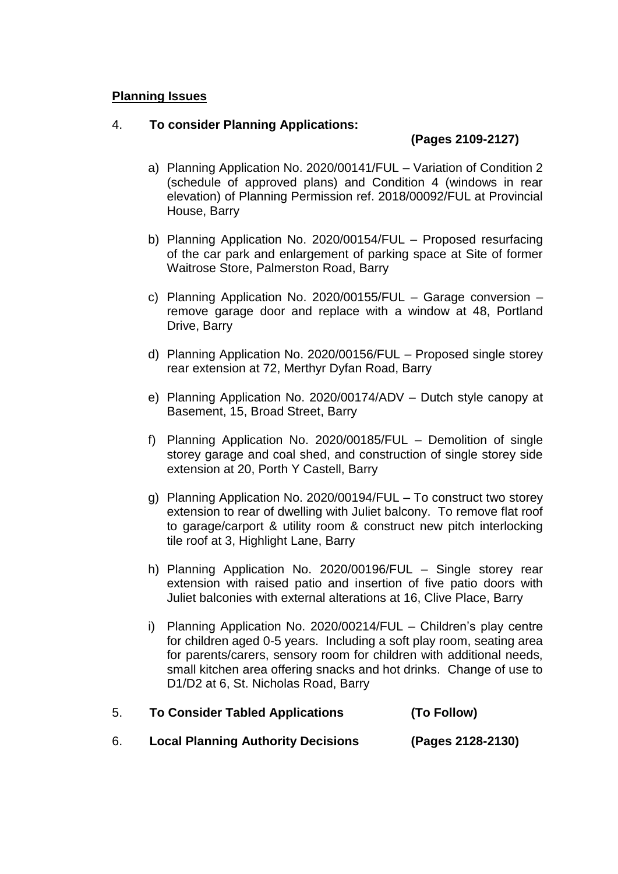## 4. **To consider Planning Applications:**

# **(Pages 2109-2127)**

- a) Planning Application No. 2020/00141/FUL Variation of Condition 2 (schedule of approved plans) and Condition 4 (windows in rear elevation) of Planning Permission ref. 2018/00092/FUL at Provincial House, Barry
- b) Planning Application No. 2020/00154/FUL Proposed resurfacing of the car park and enlargement of parking space at Site of former Waitrose Store, Palmerston Road, Barry
- c) Planning Application No. 2020/00155/FUL Garage conversion remove garage door and replace with a window at 48, Portland Drive, Barry
- d) Planning Application No. 2020/00156/FUL Proposed single storey rear extension at 72, Merthyr Dyfan Road, Barry
- e) Planning Application No. 2020/00174/ADV Dutch style canopy at Basement, 15, Broad Street, Barry
- f) Planning Application No. 2020/00185/FUL Demolition of single storey garage and coal shed, and construction of single storey side extension at 20, Porth Y Castell, Barry
- g) Planning Application No. 2020/00194/FUL To construct two storey extension to rear of dwelling with Juliet balcony. To remove flat roof to garage/carport & utility room & construct new pitch interlocking tile roof at 3, Highlight Lane, Barry
- h) Planning Application No. 2020/00196/FUL Single storey rear extension with raised patio and insertion of five patio doors with Juliet balconies with external alterations at 16, Clive Place, Barry
- i) Planning Application No. 2020/00214/FUL Children's play centre for children aged 0-5 years. Including a soft play room, seating area for parents/carers, sensory room for children with additional needs, small kitchen area offering snacks and hot drinks. Change of use to D1/D2 at 6, St. Nicholas Road, Barry

| 5. | <b>To Consider Tabled Applications</b>    | (To Follow)       |
|----|-------------------------------------------|-------------------|
|    | <b>Local Planning Authority Decisions</b> | (Pages 2128-2130) |